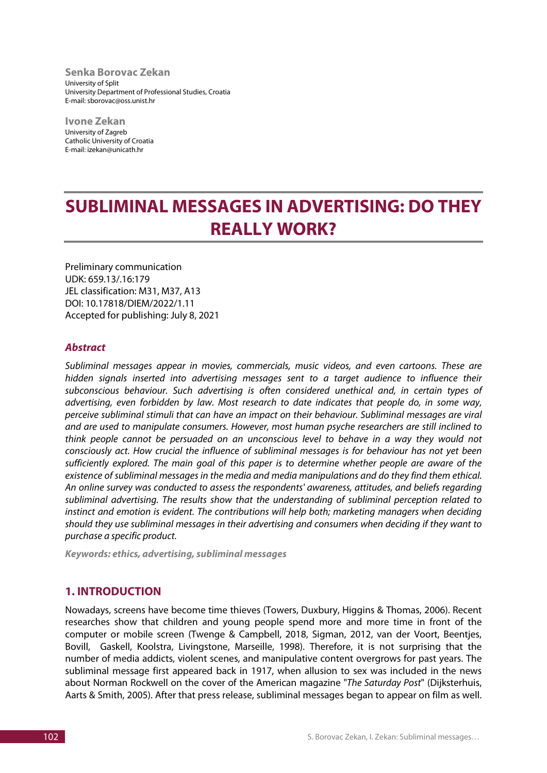**Senka Borovac Zekan** University of Split University Department of Professional Studies, Croatia E-mail: sborovac@oss.unist.hr

**Ivone Zekan** University of Zagreb Catholic University of Croatia E-mail: izekan@unicath.hr

# **SUBLIMINAL MESSAGES IN ADVERTISING: DO THEY REALLY WORK?**

Preliminary communication UDK: 659.13/.16:179 JEL classification: M31, M37, A13 DOI: 10.17818/DIEM/2022/1.11 Accepted for publishing: July 8, 2021

## *Abstract*

*Subliminal messages appear in movies, commercials, music videos, and even cartoons. These are hidden signals inserted into advertising messages sent to a target audience to influence their subconscious behaviour. Such advertising is often considered unethical and, in certain types of advertising, even forbidden by law. Most research to date indicates that people do, in some way, perceive subliminal stimuli that can have an impact on their behaviour. Subliminal messages are viral and are used to manipulate consumers. However, most human psyche researchers are still inclined to think people cannot be persuaded on an unconscious level to behave in a way they would not consciously act. How crucial the influence of subliminal messages is for behaviour has not yet been sufficiently explored. The main goal of this paper is to determine whether people are aware of the existence of subliminal messages in the media and media manipulations and do they find them ethical. An online survey was conducted to assess the respondents' awareness, attitudes, and beliefs regarding subliminal advertising. The results show that the understanding of subliminal perception related to instinct and emotion is evident. The contributions will help both; marketing managers when deciding should they use subliminal messages in their advertising and consumers when deciding if they want to purchase a specific product.* 

*Keywords: ethics, advertising, subliminal messages*

# **1. INTRODUCTION**

Nowadays, screens have become time thieves (Towers, Duxbury, Higgins & Thomas, 2006). Recent researches show that children and young people spend more and more time in front of the computer or mobile screen (Twenge & Campbell, 2018, Sigman, 2012, van der Voort, Beentjes, Bovill, Gaskell, Koolstra, Livingstone, Marseille, 1998). Therefore, it is not surprising that the number of media addicts, violent scenes, and manipulative content overgrows for past years. The subliminal message first appeared back in 1917, when allusion to sex was included in the news about Norman Rockwell on the cover of the American magazine "*The Saturday Post*" (Dijksterhuis, Aarts & Smith, 2005). After that press release, subliminal messages began to appear on film as well.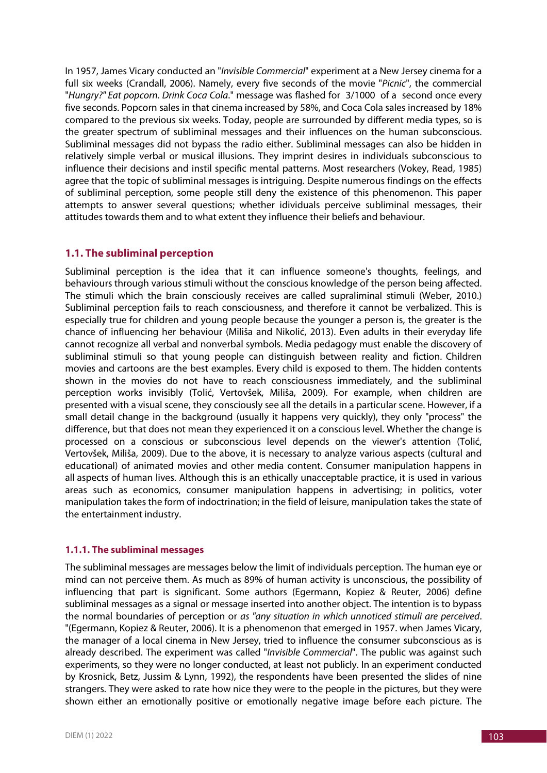In 1957, James Vicary conducted an "*Invisible Commercial*" experiment at a New Jersey cinema for a full six weeks (Crandall, 2006). Namely, every five seconds of the movie "*Picnic*", the commercial "*Hungry?" Eat popcorn. Drink Coca Cola*." message was flashed for 3/1000 of a second once every five seconds. Popcorn sales in that cinema increased by 58%, and Coca Cola sales increased by 18% compared to the previous six weeks. Today, people are surrounded by different media types, so is the greater spectrum of subliminal messages and their influences on the human subconscious. Subliminal messages did not bypass the radio either. Subliminal messages can also be hidden in relatively simple verbal or musical illusions. They imprint desires in individuals subconscious to influence their decisions and instil specific mental patterns. Most researchers (Vokey, Read, 1985) agree that the topic of subliminal messages is intriguing. Despite numerous findings on the effects of subliminal perception, some people still deny the existence of this phenomenon. This paper attempts to answer several questions; whether idividuals perceive subliminal messages, their attitudes towards them and to what extent they influence their beliefs and behaviour.

# **1.1. The subliminal perception**

Subliminal perception is the idea that it can influence someone's thoughts, feelings, and behaviours through various stimuli without the conscious knowledge of the person being affected. The stimuli which the brain consciously receives are called supraliminal stimuli (Weber, 2010.) Subliminal perception fails to reach consciousness, and therefore it cannot be verbalized. This is especially true for children and young people because the younger a person is, the greater is the chance of influencing her behaviour (Miliša and Nikolić, 2013). Even adults in their everyday life cannot recognize all verbal and nonverbal symbols. Media pedagogy must enable the discovery of subliminal stimuli so that young people can distinguish between reality and fiction. Children movies and cartoons are the best examples. Every child is exposed to them. The hidden contents shown in the movies do not have to reach consciousness immediately, and the subliminal perception works invisibly (Tolić, Vertovšek, Miliša, 2009). For example, when children are presented with a visual scene, they consciously see all the details in a particular scene. However, if a small detail change in the background (usually it happens very quickly), they only "process" the difference, but that does not mean they experienced it on a conscious level. Whether the change is processed on a conscious or subconscious level depends on the viewer's attention (Tolić, Vertovšek, Miliša, 2009). Due to the above, it is necessary to analyze various aspects (cultural and educational) of animated movies and other media content. Consumer manipulation happens in all aspects of human lives. Although this is an ethically unacceptable practice, it is used in various areas such as economics, consumer manipulation happens in advertising; in politics, voter manipulation takes the form of indoctrination; in the field of leisure, manipulation takes the state of the entertainment industry.

# **1.1.1. The subliminal messages**

The subliminal messages are messages below the limit of individuals perception. The human eye or mind can not perceive them. As much as 89% of human activity is unconscious, the possibility of influencing that part is significant. Some authors (Egermann, Kopiez & Reuter, 2006) define subliminal messages as a signal or message inserted into another object. The intention is to bypass the normal boundaries of perception or *as "any situation in which unnoticed stimuli are perceived*. "(Egermann, Kopiez & Reuter, 2006). It is a phenomenon that emerged in 1957. when James Vicary, the manager of a local cinema in New Jersey, tried to influence the consumer subconscious as is already described. The experiment was called "*Invisible Commercial*". The public was against such experiments, so they were no longer conducted, at least not publicly. In an experiment conducted by Krosnick, Betz, Jussim & Lynn, 1992), the respondents have been presented the slides of nine strangers. They were asked to rate how nice they were to the people in the pictures, but they were shown either an emotionally positive or emotionally negative image before each picture. The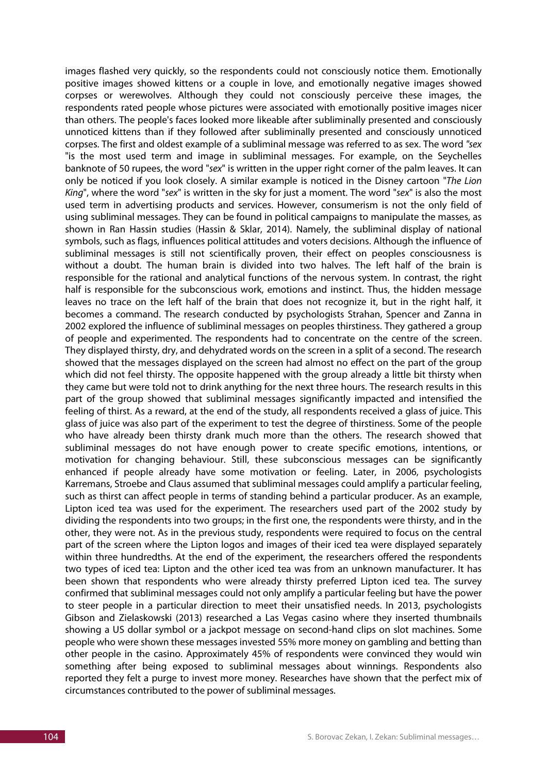images flashed very quickly, so the respondents could not consciously notice them. Emotionally positive images showed kittens or a couple in love, and emotionally negative images showed corpses or werewolves. Although they could not consciously perceive these images, the respondents rated people whose pictures were associated with emotionally positive images nicer than others. The people's faces looked more likeable after subliminally presented and consciously unnoticed kittens than if they followed after subliminally presented and consciously unnoticed corpses. The first and oldest example of a subliminal message was referred to as sex. The word *"sex* "is the most used term and image in subliminal messages. For example, on the Seychelles banknote of 50 rupees, the word "*sex*" is written in the upper right corner of the palm leaves. It can only be noticed if you look closely. A similar example is noticed in the Disney cartoon "*The Lion King*", where the word "*sex*" is written in the sky for just a moment. The word "*sex*" is also the most used term in advertising products and services. However, consumerism is not the only field of using subliminal messages. They can be found in political campaigns to manipulate the masses, as shown in Ran Hassin studies (Hassin & Sklar, 2014). Namely, the subliminal display of national symbols, such as flags, influences political attitudes and voters decisions. Although the influence of subliminal messages is still not scientifically proven, their effect on peoples consciousness is without a doubt. The human brain is divided into two halves. The left half of the brain is responsible for the rational and analytical functions of the nervous system. In contrast, the right half is responsible for the subconscious work, emotions and instinct. Thus, the hidden message leaves no trace on the left half of the brain that does not recognize it, but in the right half, it becomes a command. The research conducted by psychologists Strahan, Spencer and Zanna in 2002 explored the influence of subliminal messages on peoples thirstiness. They gathered a group of people and experimented. The respondents had to concentrate on the centre of the screen. They displayed thirsty, dry, and dehydrated words on the screen in a split of a second. The research showed that the messages displayed on the screen had almost no effect on the part of the group which did not feel thirsty. The opposite happened with the group already a little bit thirsty when they came but were told not to drink anything for the next three hours. The research results in this part of the group showed that subliminal messages significantly impacted and intensified the feeling of thirst. As a reward, at the end of the study, all respondents received a glass of juice. This glass of juice was also part of the experiment to test the degree of thirstiness. Some of the people who have already been thirsty drank much more than the others. The research showed that subliminal messages do not have enough power to create specific emotions, intentions, or motivation for changing behaviour. Still, these subconscious messages can be significantly enhanced if people already have some motivation or feeling. Later, in 2006, psychologists Karremans, Stroebe and Claus assumed that subliminal messages could amplify a particular feeling, such as thirst can affect people in terms of standing behind a particular producer. As an example, Lipton iced tea was used for the experiment. The researchers used part of the 2002 study by dividing the respondents into two groups; in the first one, the respondents were thirsty, and in the other, they were not. As in the previous study, respondents were required to focus on the central part of the screen where the Lipton logos and images of their iced tea were displayed separately within three hundredths. At the end of the experiment, the researchers offered the respondents two types of iced tea: Lipton and the other iced tea was from an unknown manufacturer. It has been shown that respondents who were already thirsty preferred Lipton iced tea. The survey confirmed that subliminal messages could not only amplify a particular feeling but have the power to steer people in a particular direction to meet their unsatisfied needs. In 2013, psychologists Gibson and Zielaskowski (2013) researched a Las Vegas casino where they inserted thumbnails showing a US dollar symbol or a jackpot message on second-hand clips on slot machines. Some people who were shown these messages invested 55% more money on gambling and betting than other people in the casino. Approximately 45% of respondents were convinced they would win something after being exposed to subliminal messages about winnings. Respondents also reported they felt a purge to invest more money. Researches have shown that the perfect mix of circumstances contributed to the power of subliminal messages.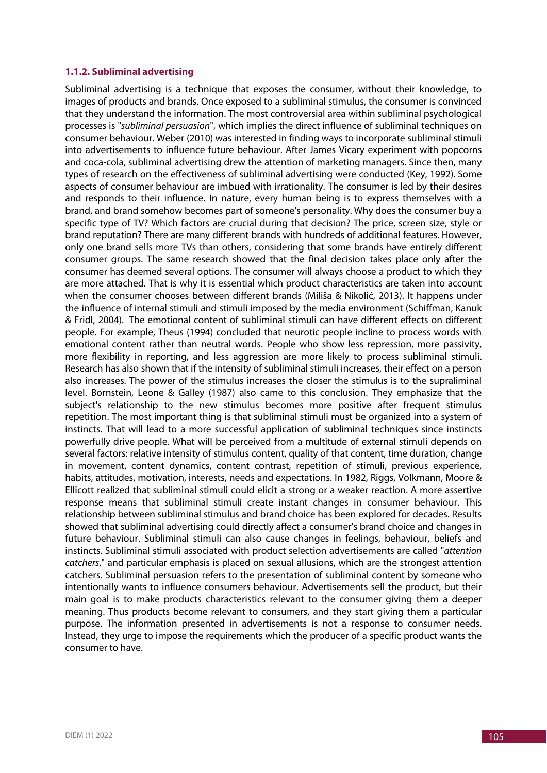#### **1.1.2. Subliminal advertising**

Subliminal advertising is a technique that exposes the consumer, without their knowledge, to images of products and brands. Once exposed to a subliminal stimulus, the consumer is convinced that they understand the information. The most controversial area within subliminal psychological processes is "*subliminal persuasion*", which implies the direct influence of subliminal techniques on consumer behaviour. Weber (2010) was interested in finding ways to incorporate subliminal stimuli into advertisements to influence future behaviour. After James Vicary experiment with popcorns and coca-cola, subliminal advertising drew the attention of marketing managers. Since then, many types of research on the effectiveness of subliminal advertising were conducted (Key, 1992). Some aspects of consumer behaviour are imbued with irrationality. The consumer is led by their desires and responds to their influence. In nature, every human being is to express themselves with a brand, and brand somehow becomes part of someone's personality. Why does the consumer buy a specific type of TV? Which factors are crucial during that decision? The price, screen size, style or brand reputation? There are many different brands with hundreds of additional features. However, only one brand sells more TVs than others, considering that some brands have entirely different consumer groups. The same research showed that the final decision takes place only after the consumer has deemed several options. The consumer will always choose a product to which they are more attached. That is why it is essential which product characteristics are taken into account when the consumer chooses between different brands (Miliša & Nikolić, 2013). It happens under the influence of internal stimuli and stimuli imposed by the media environment (Schiffman, Kanuk & Fridl, 2004). The emotional content of subliminal stimuli can have different effects on different people. For example, Theus (1994) concluded that neurotic people incline to process words with emotional content rather than neutral words. People who show less repression, more passivity, more flexibility in reporting, and less aggression are more likely to process subliminal stimuli. Research has also shown that if the intensity of subliminal stimuli increases, their effect on a person also increases. The power of the stimulus increases the closer the stimulus is to the supraliminal level. Bornstein, Leone & Galley (1987) also came to this conclusion. They emphasize that the subject's relationship to the new stimulus becomes more positive after frequent stimulus repetition. The most important thing is that subliminal stimuli must be organized into a system of instincts. That will lead to a more successful application of subliminal techniques since instincts powerfully drive people. What will be perceived from a multitude of external stimuli depends on several factors: relative intensity of stimulus content, quality of that content, time duration, change in movement, content dynamics, content contrast, repetition of stimuli, previous experience, habits, attitudes, motivation, interests, needs and expectations. In 1982, Riggs, Volkmann, Moore & Ellicott realized that subliminal stimuli could elicit a strong or a weaker reaction. A more assertive response means that subliminal stimuli create instant changes in consumer behaviour. This relationship between subliminal stimulus and brand choice has been explored for decades. Results showed that subliminal advertising could directly affect a consumer's brand choice and changes in future behaviour. Subliminal stimuli can also cause changes in feelings, behaviour, beliefs and instincts. Subliminal stimuli associated with product selection advertisements are called "*attention catchers*," and particular emphasis is placed on sexual allusions, which are the strongest attention catchers. Subliminal persuasion refers to the presentation of subliminal content by someone who intentionally wants to influence consumers behaviour. Advertisements sell the product, but their main goal is to make products characteristics relevant to the consumer giving them a deeper meaning. Thus products become relevant to consumers, and they start giving them a particular purpose. The information presented in advertisements is not a response to consumer needs. Instead, they urge to impose the requirements which the producer of a specific product wants the consumer to have.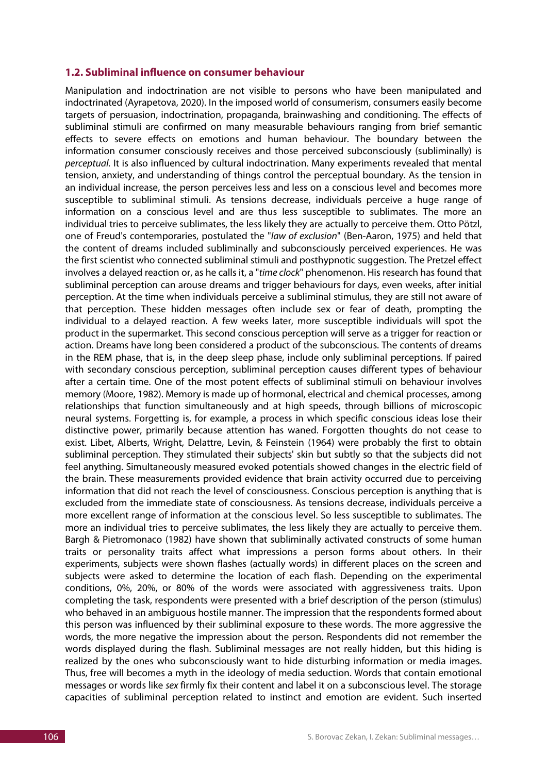#### **1.2. Subliminal influence on consumer behaviour**

Manipulation and indoctrination are not visible to persons who have been manipulated and indoctrinated (Ayrapetova, 2020). In the imposed world of consumerism, consumers easily become targets of persuasion, indoctrination, propaganda, brainwashing and conditioning. The effects of subliminal stimuli are confirmed on many measurable behaviours ranging from brief semantic effects to severe effects on emotions and human behaviour. The boundary between the information consumer consciously receives and those perceived subconsciously (subliminally) is *perceptual.* It is also influenced by cultural indoctrination. Many experiments revealed that mental tension, anxiety, and understanding of things control the perceptual boundary. As the tension in an individual increase, the person perceives less and less on a conscious level and becomes more susceptible to subliminal stimuli. As tensions decrease, individuals perceive a huge range of information on a conscious level and are thus less susceptible to sublimates. The more an individual tries to perceive sublimates, the less likely they are actually to perceive them. Otto Pötzl, one of Freud's contemporaries, postulated the "*law of exclusion*" (Ben-Aaron, 1975) and held that the content of dreams included subliminally and subconsciously perceived experiences. He was the first scientist who connected subliminal stimuli and posthypnotic suggestion. The Pretzel effect involves a delayed reaction or, as he calls it, a "*time clock*" phenomenon. His research has found that subliminal perception can arouse dreams and trigger behaviours for days, even weeks, after initial perception. At the time when individuals perceive a subliminal stimulus, they are still not aware of that perception. These hidden messages often include sex or fear of death, prompting the individual to a delayed reaction. A few weeks later, more susceptible individuals will spot the product in the supermarket. This second conscious perception will serve as a trigger for reaction or action. Dreams have long been considered a product of the subconscious. The contents of dreams in the REM phase, that is, in the deep sleep phase, include only subliminal perceptions. If paired with secondary conscious perception, subliminal perception causes different types of behaviour after a certain time. One of the most potent effects of subliminal stimuli on behaviour involves memory (Moore, 1982). Memory is made up of hormonal, electrical and chemical processes, among relationships that function simultaneously and at high speeds, through billions of microscopic neural systems. Forgetting is, for example, a process in which specific conscious ideas lose their distinctive power, primarily because attention has waned. Forgotten thoughts do not cease to exist. Libet, Alberts, Wright, Delattre, Levin, & Feinstein (1964) were probably the first to obtain subliminal perception. They stimulated their subjects' skin but subtly so that the subjects did not feel anything. Simultaneously measured evoked potentials showed changes in the electric field of the brain. These measurements provided evidence that brain activity occurred due to perceiving information that did not reach the level of consciousness. Conscious perception is anything that is excluded from the immediate state of consciousness. As tensions decrease, individuals perceive a more excellent range of information at the conscious level. So less susceptible to sublimates. The more an individual tries to perceive sublimates, the less likely they are actually to perceive them. Bargh & Pietromonaco (1982) have shown that subliminally activated constructs of some human traits or personality traits affect what impressions a person forms about others. In their experiments, subjects were shown flashes (actually words) in different places on the screen and subjects were asked to determine the location of each flash. Depending on the experimental conditions, 0%, 20%, or 80% of the words were associated with aggressiveness traits. Upon completing the task, respondents were presented with a brief description of the person (stimulus) who behaved in an ambiguous hostile manner. The impression that the respondents formed about this person was influenced by their subliminal exposure to these words. The more aggressive the words, the more negative the impression about the person. Respondents did not remember the words displayed during the flash. Subliminal messages are not really hidden, but this hiding is realized by the ones who subconsciously want to hide disturbing information or media images. Thus, free will becomes a myth in the ideology of media seduction. Words that contain emotional messages or words like *sex* firmly fix their content and label it on a subconscious level. The storage capacities of subliminal perception related to instinct and emotion are evident. Such inserted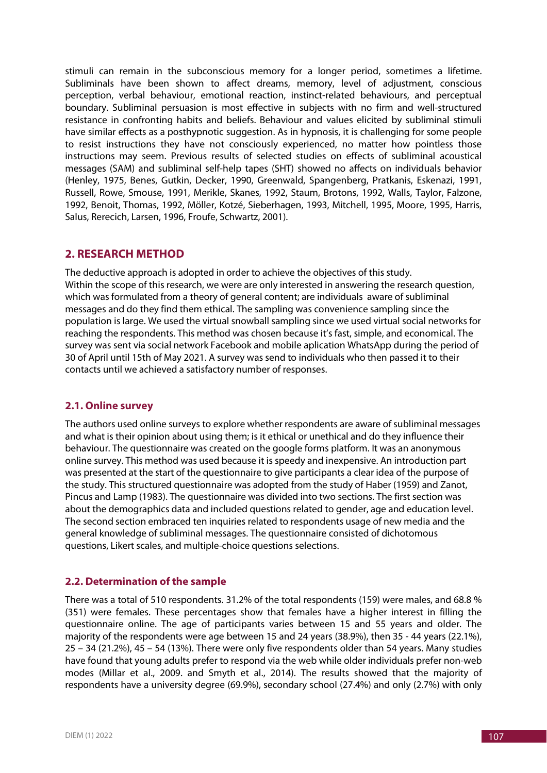stimuli can remain in the subconscious memory for a longer period, sometimes a lifetime. Subliminals have been shown to affect dreams, memory, level of adjustment, conscious perception, verbal behaviour, emotional reaction, instinct-related behaviours, and perceptual boundary. Subliminal persuasion is most effective in subjects with no firm and well-structured resistance in confronting habits and beliefs. Behaviour and values elicited by subliminal stimuli have similar effects as a posthypnotic suggestion. As in hypnosis, it is challenging for some people to resist instructions they have not consciously experienced, no matter how pointless those instructions may seem. Previous results of selected studies on effects of subliminal acoustical messages (SAM) and subliminal self-help tapes (SHT) showed no affects on individuals behavior (Henley, 1975, Benes, Gutkin, Decker, 1990, Greenwald, Spangenberg, Pratkanis, Eskenazi, 1991, Russell, Rowe, Smouse, 1991, Merikle, Skanes, 1992, Staum, Brotons, 1992, Walls, Taylor, Falzone, 1992, Benoit, Thomas, 1992, Möller, Kotzé, Sieberhagen, 1993, Mitchell, 1995, Moore, 1995, Harris, Salus, Rerecich, Larsen, 1996, Froufe, Schwartz, 2001).

# **2. RESEARCH METHOD**

The deductive approach is adopted in order to achieve the objectives of this study. Within the scope of this research, we were are only interested in answering the research question, which was formulated from a theory of general content; are individuals aware of subliminal messages and do they find them ethical. The sampling was convenience sampling since the population is large. We used the virtual snowball sampling since we used virtual social networks for reaching the respondents. This method was chosen because it's fast, simple, and economical. The survey was sent via social network Facebook and mobile aplication WhatsApp during the period of 30 of April until 15th of May 2021. A survey was send to individuals who then passed it to their contacts until we achieved a satisfactory number of responses.

# **2.1. Online survey**

The authors used online surveys to explore whether respondents are aware of subliminal messages and what is their opinion about using them; is it ethical or unethical and do they influence their behaviour. The questionnaire was created on the google forms platform. It was an anonymous online survey. This method was used because it is speedy and inexpensive. An introduction part was presented at the start of the questionnaire to give participants a clear idea of the purpose of the study. This structured questionnaire was adopted from the study of Haber (1959) and Zanot, Pincus and Lamp (1983). The questionnaire was divided into two sections. The first section was about the demographics data and included questions related to gender, age and education level. The second section embraced ten inquiries related to respondents usage of new media and the general knowledge of subliminal messages. The questionnaire consisted of dichotomous questions, Likert scales, and multiple-choice questions selections.

# **2.2. Determination of the sample**

There was a total of 510 respondents. 31.2% of the total respondents (159) were males, and 68.8 % (351) were females. These percentages show that females have a higher interest in filling the questionnaire online. The age of participants varies between 15 and 55 years and older. The majority of the respondents were age between 15 and 24 years (38.9%), then 35 - 44 years (22.1%), 25 – 34 (21.2%), 45 – 54 (13%). There were only five respondents older than 54 years. Many studies have found that young adults prefer to respond via the web while older individuals prefer non-web modes (Millar et al., 2009. and Smyth et al., 2014). The results showed that the majority of respondents have a university degree (69.9%), secondary school (27.4%) and only (2.7%) with only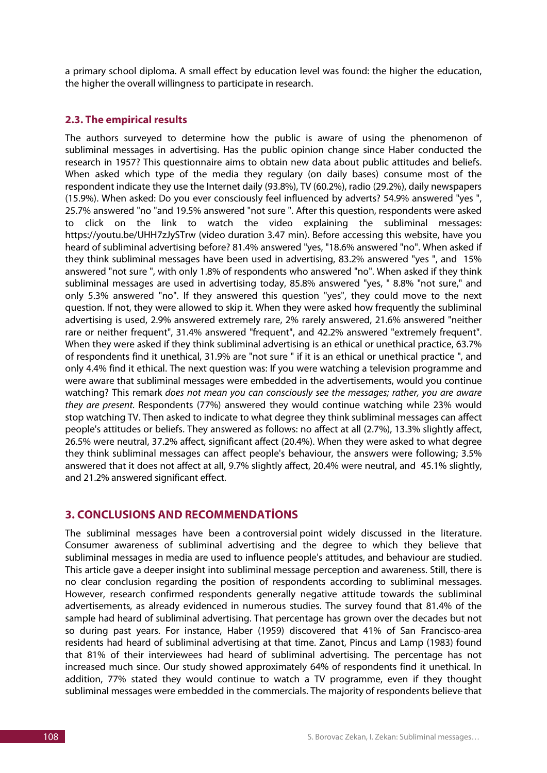a primary school diploma. A small effect by education level was found: the higher the education, the higher the overall willingness to participate in research.

### **2.3. The empirical results**

The authors surveyed to determine how the public is aware of using the phenomenon of subliminal messages in advertising. Has the public opinion change since Haber conducted the research in 1957? This questionnaire aims to obtain new data about public attitudes and beliefs. When asked which type of the media they regulary (on daily bases) consume most of the respondent indicate they use the Internet daily (93.8%), TV (60.2%), radio (29.2%), daily newspapers (15.9%). When asked: Do you ever consciously feel influenced by adverts? 54.9% answered "yes ", 25.7% answered "no "and 19.5% answered "not sure ". After this question, respondents were asked to click on the link to watch the video explaining the subliminal messages: https://youtu.be/UHH7zJySTrw (video duration 3.47 min). Before accessing this website, have you heard of subliminal advertising before? 81.4% answered "yes, "18.6% answered "no". When asked if they think subliminal messages have been used in advertising, 83.2% answered "yes ", and 15% answered "not sure ", with only 1.8% of respondents who answered "no". When asked if they think subliminal messages are used in advertising today, 85.8% answered "yes, " 8.8% "not sure," and only 5.3% answered "no". If they answered this question "yes", they could move to the next question. If not, they were allowed to skip it. When they were asked how frequently the subliminal advertising is used, 2.9% answered extremely rare, 2% rarely answered, 21.6% answered "neither rare or neither frequent", 31.4% answered "frequent", and 42.2% answered "extremely frequent". When they were asked if they think subliminal advertising is an ethical or unethical practice, 63.7% of respondents find it unethical, 31.9% are "not sure " if it is an ethical or unethical practice ", and only 4.4% find it ethical. The next question was: If you were watching a television programme and were aware that subliminal messages were embedded in the advertisements, would you continue watching? This remark *does not mean you can consciously see the messages; rather, you are aware they are present.* Respondents (77%) answered they would continue watching while 23% would stop watching TV. Then asked to indicate to what degree they think subliminal messages can affect people's attitudes or beliefs. They answered as follows: no affect at all (2.7%), 13.3% slightly affect, 26.5% were neutral, 37.2% affect, significant affect (20.4%). When they were asked to what degree they think subliminal messages can affect people's behaviour, the answers were following; 3.5% answered that it does not affect at all, 9.7% slightly affect, 20.4% were neutral, and 45.1% slightly, and 21.2% answered significant effect.

# **3. CONCLUSIONS AND RECOMMENDATİONS**

The subliminal messages have been a controversial point widely discussed in the literature. Consumer awareness of subliminal advertising and the degree to which they believe that subliminal messages in media are used to influence people's attitudes, and behaviour are studied. This article gave a deeper insight into subliminal message perception and awareness. Still, there is no clear conclusion regarding the position of respondents according to subliminal messages. However, research confirmed respondents generally negative attitude towards the subliminal advertisements, as already evidenced in numerous studies. The survey found that 81.4% of the sample had heard of subliminal advertising. That percentage has grown over the decades but not so during past years. For instance, Haber (1959) discovered that 41% of San Francisco-area residents had heard of subliminal advertising at that time. Zanot, Pincus and Lamp (1983) found that 81% of their interviewees had heard of subliminal advertising. The percentage has not increased much since. Our study showed approximately 64% of respondents find it unethical. In addition, 77% stated they would continue to watch a TV programme, even if they thought subliminal messages were embedded in the commercials. The majority of respondents believe that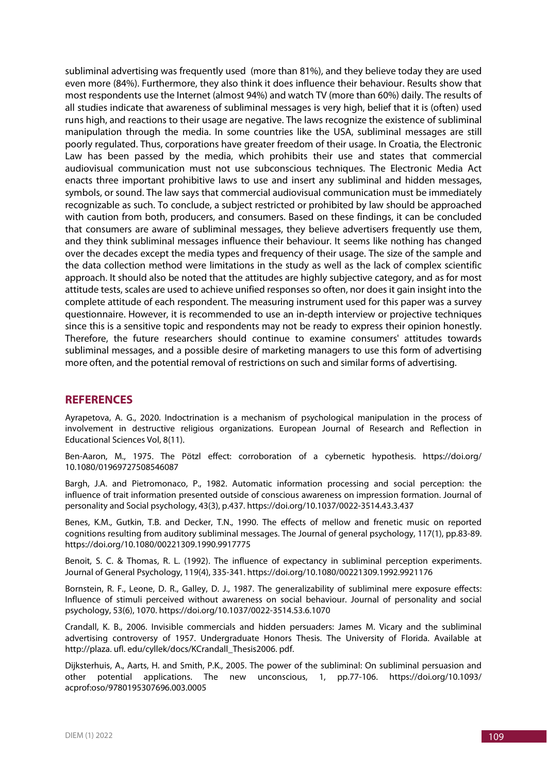subliminal advertising was frequently used (more than 81%), and they believe today they are used even more (84%). Furthermore, they also think it does influence their behaviour. Results show that most respondents use the Internet (almost 94%) and watch TV (more than 60%) daily. The results of all studies indicate that awareness of subliminal messages is very high, belief that it is (often) used runs high, and reactions to their usage are negative. The laws recognize the existence of subliminal manipulation through the media. In some countries like the USA, subliminal messages are still poorly regulated. Thus, corporations have greater freedom of their usage. In Croatia, the Electronic Law has been passed by the media, which prohibits their use and states that commercial audiovisual communication must not use subconscious techniques. The Electronic Media Act enacts three important prohibitive laws to use and insert any subliminal and hidden messages, symbols, or sound. The law says that commercial audiovisual communication must be immediately recognizable as such. To conclude, a subject restricted or prohibited by law should be approached with caution from both, producers, and consumers. Based on these findings, it can be concluded that consumers are aware of subliminal messages, they believe advertisers frequently use them, and they think subliminal messages influence their behaviour. It seems like nothing has changed over the decades except the media types and frequency of their usage. The size of the sample and the data collection method were limitations in the study as well as the lack of complex scientific approach. It should also be noted that the attitudes are highly subjective category, and as for most attitude tests, scales are used to achieve unified responses so often, nor does it gain insight into the complete attitude of each respondent. The measuring instrument used for this paper was a survey questionnaire. However, it is recommended to use an in-depth interview or projective techniques since this is a sensitive topic and respondents may not be ready to express their opinion honestly. Therefore, the future researchers should continue to examine consumers' attitudes towards subliminal messages, and a possible desire of marketing managers to use this form of advertising more often, and the potential removal of restrictions on such and similar forms of advertising.

# **REFERENCES**

Ayrapetova, A. G., 2020. Indoctrination is a mechanism of psychological manipulation in the process of involvement in destructive religious organizations. European Journal of Research and Reflection in Educational Sciences Vol, 8(11).

Ben-Aaron, M., 1975. The Pötzl effect: corroboration of a cybernetic hypothesis. https://doi.org/ 10.1080/01969727508546087

Bargh, J.A. and Pietromonaco, P., 1982. Automatic information processing and social perception: the influence of trait information presented outside of conscious awareness on impression formation. Journal of personality and Social psychology, 43(3), p.437. https://doi.org/10.1037/0022-3514.43.3.437

Benes, K.M., Gutkin, T.B. and Decker, T.N., 1990. The effects of mellow and frenetic music on reported cognitions resulting from auditory subliminal messages. The Journal of general psychology, 117(1), pp.83-89. https://doi.org/10.1080/00221309.1990.9917775

Benoit, S. C. & Thomas, R. L. (1992). The influence of expectancy in subliminal perception experiments. Journal of General Psychology, 119(4), 335-341. https://doi.org/10.1080/00221309.1992.9921176

Bornstein, R. F., Leone, D. R., Galley, D. J., 1987. The generalizability of subliminal mere exposure effects: Influence of stimuli perceived without awareness on social behaviour. Journal of personality and social psychology, 53(6), 1070. https://doi.org/10.1037/0022-3514.53.6.1070

Crandall, K. B., 2006. Invisible commercials and hidden persuaders: James M. Vicary and the subliminal advertising controversy of 1957. Undergraduate Honors Thesis. The University of Florida. Available at http://plaza. ufl. edu/cyllek/docs/KCrandall\_Thesis2006. pdf.

Dijksterhuis, A., Aarts, H. and Smith, P.K., 2005. The power of the subliminal: On subliminal persuasion and other potential applications. The new unconscious, 1, pp.77-106. https://doi.org/10.1093/ acprof:oso/9780195307696.003.0005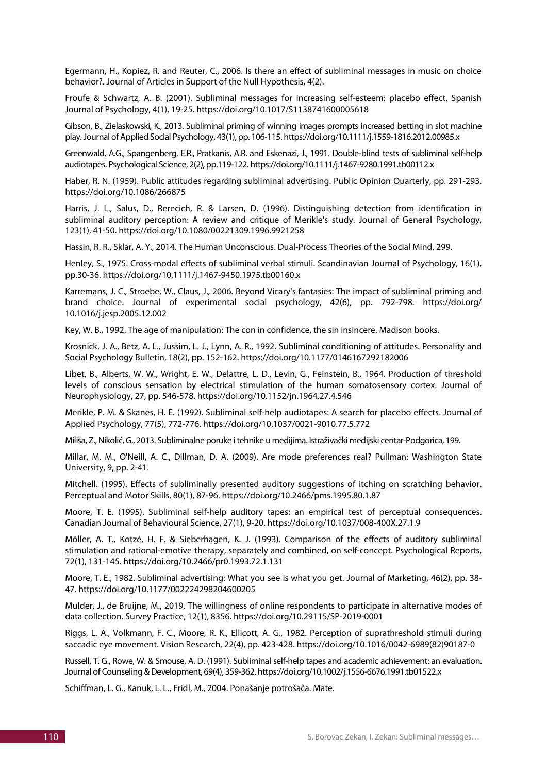Egermann, H., Kopiez, R. and Reuter, C., 2006. Is there an effect of subliminal messages in music on choice behavior?. Journal of Articles in Support of the Null Hypothesis, 4(2).

Froufe & Schwartz, A. B. (2001). Subliminal messages for increasing self-esteem: placebo effect. Spanish Journal of Psychology, 4(1), 19-25. https://doi.org/10.1017/S1138741600005618

Gibson, B., Zielaskowski, K., 2013. Subliminal priming of winning images prompts increased betting in slot machine play. Journal of Applied Social Psychology, 43(1), pp. 106-115. https://doi.org/10.1111/j.1559-1816.2012.00985.x

Greenwald, A.G., Spangenberg, E.R., Pratkanis, A.R. and Eskenazi, J., 1991. Double-blind tests of subliminal self-help audiotapes. Psychological Science, 2(2), pp.119-122. https://doi.org/10.1111/j.1467-9280.1991.tb00112.x

Haber, R. N. (1959). Public attitudes regarding subliminal advertising. Public Opinion Quarterly, pp. 291-293. https://doi.org/10.1086/266875

Harris, J. L., Salus, D., Rerecich, R. & Larsen, D. (1996). Distinguishing detection from identification in subliminal auditory perception: A review and critique of Merikle's study. Journal of General Psychology, 123(1), 41-50. https://doi.org/10.1080/00221309.1996.9921258

Hassin, R. R., Sklar, A. Y., 2014. The Human Unconscious. Dual-Process Theories of the Social Mind, 299.

Henley, S., 1975. Cross‐modal effects of subliminal verbal stimuli. Scandinavian Journal of Psychology, 16(1), pp.30-36. https://doi.org/10.1111/j.1467-9450.1975.tb00160.x

Karremans, J. C., Stroebe, W., Claus, J., 2006. Beyond Vicary's fantasies: The impact of subliminal priming and brand choice. Journal of experimental social psychology, 42(6), pp. 792-798. https://doi.org/ 10.1016/j.jesp.2005.12.002

Key, W. B., 1992. The age of manipulation: The con in confidence, the sin insincere. Madison books.

Krosnick, J. A., Betz, A. L., Jussim, L. J., Lynn, A. R., 1992. Subliminal conditioning of attitudes. Personality and Social Psychology Bulletin, 18(2), pp. 152-162. https://doi.org/10.1177/0146167292182006

Libet, B., Alberts, W. W., Wright, E. W., Delattre, L. D., Levin, G., Feinstein, B., 1964. Production of threshold levels of conscious sensation by electrical stimulation of the human somatosensory cortex. Journal of Neurophysiology, 27, pp. 546-578. https://doi.org/10.1152/jn.1964.27.4.546

Merikle, P. M. & Skanes, H. E. (1992). Subliminal self-help audiotapes: A search for placebo effects. Journal of Applied Psychology, 77(5), 772-776. https://doi.org/10.1037/0021-9010.77.5.772

Miliša, Z., Nikolić, G., 2013. Subliminalne poruke i tehnike u medijima. Istraživački medijski centar-Podgorica, 199.

Millar, M. M., O'Neill, A. C., Dillman, D. A. (2009). Are mode preferences real? Pullman: Washington State University, 9, pp. 2-41.

Mitchell. (1995). Effects of subliminally presented auditory suggestions of itching on scratching behavior. Perceptual and Motor Skills, 80(1), 87-96. https://doi.org/10.2466/pms.1995.80.1.87

Moore, T. E. (1995). Subliminal self-help auditory tapes: an empirical test of perceptual consequences. Canadian Journal of Behavioural Science, 27(1), 9-20. https://doi.org/10.1037/008-400X.27.1.9

Möller, A. T., Kotzé, H. F. & Sieberhagen, K. J. (1993). Comparison of the effects of auditory subliminal stimulation and rational-emotive therapy, separately and combined, on self-concept. Psychological Reports, 72(1), 131-145. https://doi.org/10.2466/pr0.1993.72.1.131

Moore, T. E., 1982. Subliminal advertising: What you see is what you get. Journal of Marketing, 46(2), pp. 38- 47. https://doi.org/10.1177/002224298204600205

Mulder, J., de Bruijne, M., 2019. The willingness of online respondents to participate in alternative modes of data collection. Survey Practice, 12(1), 8356. https://doi.org/10.29115/SP-2019-0001

Riggs, L. A., Volkmann, F. C., Moore, R. K., Ellicott, A. G., 1982. Perception of suprathreshold stimuli during saccadic eye movement. Vision Research, 22(4), pp. 423-428. https://doi.org/10.1016/0042-6989(82)90187-0

Russell, T. G., Rowe, W. & Smouse, A. D. (1991). Subliminal self-help tapes and academic achievement: an evaluation. Journal of Counseling & Development, 69(4), 359-362. https://doi.org/10.1002/j.1556-6676.1991.tb01522.x

Schiffman, L. G., Kanuk, L. L., Fridl, M., 2004. Ponašanje potrošača. Mate.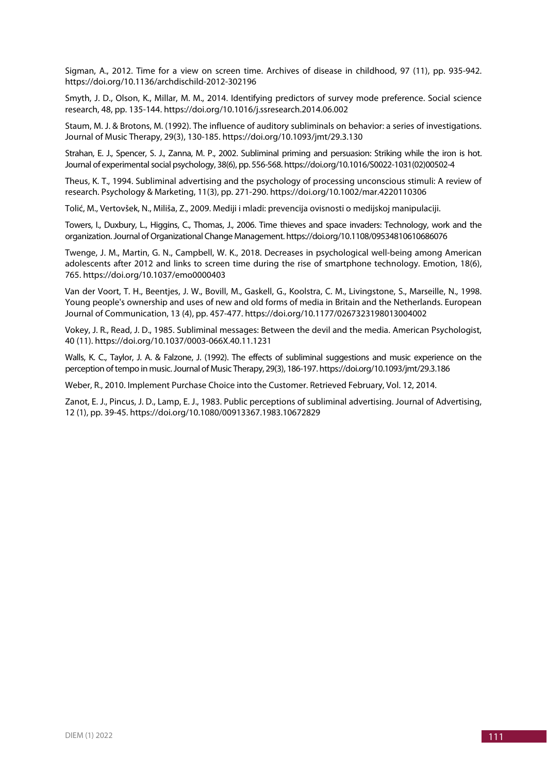Sigman, A., 2012. Time for a view on screen time. Archives of disease in childhood, 97 (11), pp. 935-942. https://doi.org/10.1136/archdischild-2012-302196

Smyth, J. D., Olson, K., Millar, M. M., 2014. Identifying predictors of survey mode preference. Social science research, 48, pp. 135-144. https://doi.org/10.1016/j.ssresearch.2014.06.002

Staum, M. J. & Brotons, M. (1992). The influence of auditory subliminals on behavior: a series of investigations. Journal of Music Therapy, 29(3), 130-185. https://doi.org/10.1093/jmt/29.3.130

Strahan, E. J., Spencer, S. J., Zanna, M. P., 2002. Subliminal priming and persuasion: Striking while the iron is hot. Journal of experimental social psychology, 38(6), pp. 556-568. https://doi.org/10.1016/S0022-1031(02)00502-4

Theus, K. T., 1994. Subliminal advertising and the psychology of processing unconscious stimuli: A review of research. Psychology & Marketing, 11(3), pp. 271-290. https://doi.org/10.1002/mar.4220110306

Tolić, M., Vertovšek, N., Miliša, Z., 2009. Mediji i mladi: prevencija ovisnosti o medijskoj manipulaciji.

Towers, I., Duxbury, L., Higgins, C., Thomas, J., 2006. Time thieves and space invaders: Technology, work and the organization. Journal of Organizational Change Management. https://doi.org/10.1108/09534810610686076

Twenge, J. M., Martin, G. N., Campbell, W. K., 2018. Decreases in psychological well-being among American adolescents after 2012 and links to screen time during the rise of smartphone technology. Emotion, 18(6), 765. https://doi.org/10.1037/emo0000403

Van der Voort, T. H., Beentjes, J. W., Bovill, M., Gaskell, G., Koolstra, C. M., Livingstone, S., Marseille, N., 1998. Young people's ownership and uses of new and old forms of media in Britain and the Netherlands. European Journal of Communication, 13 (4), pp. 457-477. https://doi.org/10.1177/0267323198013004002

Vokey, J. R., Read, J. D., 1985. Subliminal messages: Between the devil and the media. American Psychologist, 40 (11). https://doi.org/10.1037/0003-066X.40.11.1231

Walls, K. C., Taylor, J. A. & Falzone, J. (1992). The effects of subliminal suggestions and music experience on the perception of tempo in music. Journal of Music Therapy, 29(3), 186-197. https://doi.org/10.1093/jmt/29.3.186

Weber, R., 2010. Implement Purchase Choice into the Customer. Retrieved February, Vol. 12, 2014.

Zanot, E. J., Pincus, J. D., Lamp, E. J., 1983. Public perceptions of subliminal advertising. Journal of Advertising, 12 (1), pp. 39-45. https://doi.org/10.1080/00913367.1983.10672829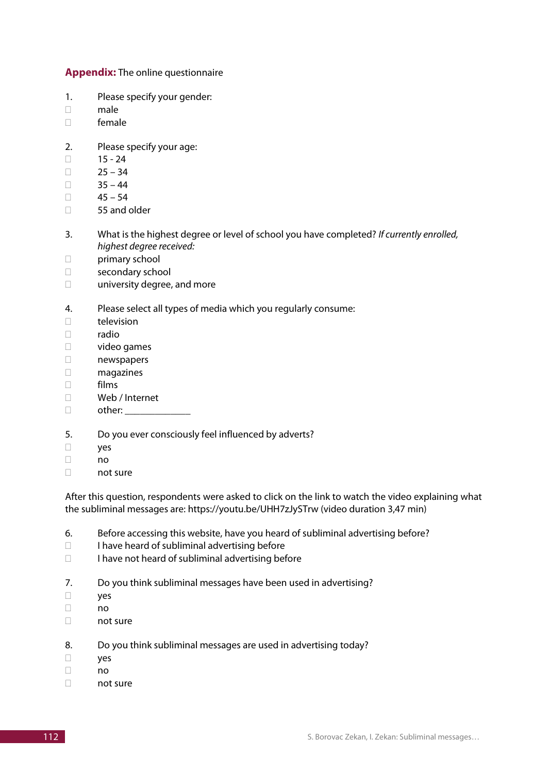**Appendix:** The online questionnaire

- 1. Please specify your gender:
- $\Box$  male
- female
- 2. Please specify your age:
- $\Box$  15 24
- $\Box$  25 34
- $\Box$  35 44
- $\Box$  45 54
- □ 55 and older
- 3. What is the highest degree or level of school you have completed? *If currently enrolled, highest degree received:*
- primary school
- secondary school
- □ university degree, and more
- 4. Please select all types of media which you regularly consume:
- $\Box$  television
- $\Box$  radio
- video games
- newspapers
- magazines
- films
- Web / Internet
- $\Box$  other:

#### 5. Do you ever consciously feel influenced by adverts?

- yes
- no
- $\Box$  not sure

After this question, respondents were asked to click on the link to watch the video explaining what the subliminal messages are: https://youtu.be/UHH7zJySTrw (video duration 3,47 min)

- 6. Before accessing this website, have you heard of subliminal advertising before?
- $\Box$  I have heard of subliminal advertising before
- $\Box$  I have not heard of subliminal advertising before
- 7. Do you think subliminal messages have been used in advertising?
- yes
- no
- not sure
- 8. Do you think subliminal messages are used in advertising today?
- yes
- $\Box$  no
- not sure